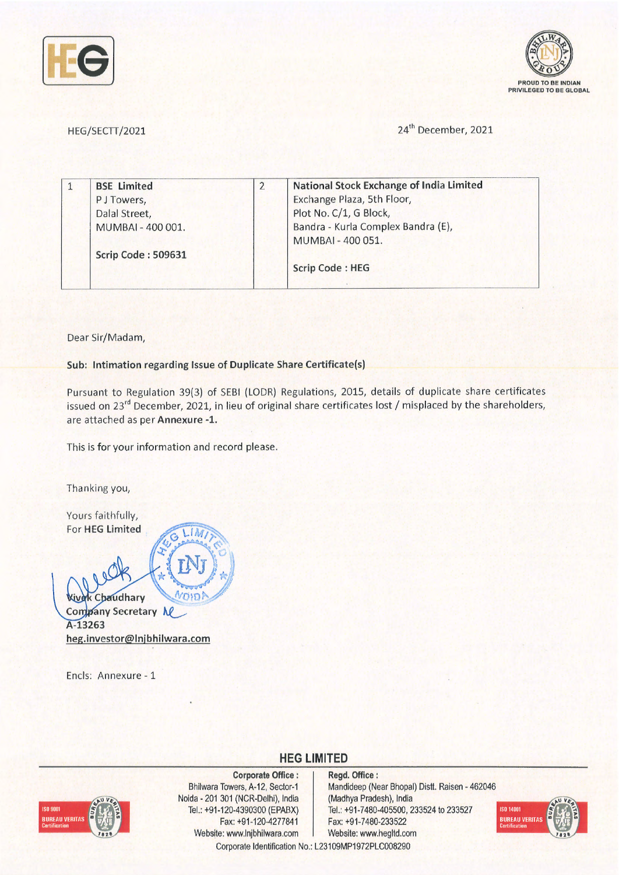



HEG/SECTT/2021 24<sup>th</sup> December, 2021

|  | <b>BSE Limited</b> | <b>National Stock Exchange of India Limited</b>         |
|--|--------------------|---------------------------------------------------------|
|  | P J Towers,        | Exchange Plaza, 5th Floor,                              |
|  | Dalal Street,      | Plot No. C/1, G Block,                                  |
|  | MUMBAI - 400 001.  | Bandra - Kurla Complex Bandra (E),<br>MUMBAI - 400 051. |
|  | Scrip Code: 509631 |                                                         |
|  |                    | <b>Scrip Code: HEG</b>                                  |
|  |                    |                                                         |

Dear Sir/Madam,

**Sub: Intimation regarding Issue of Duplicate Share Certificate(s)** 

Pursuant to Regulation 39(3) of SEBI (LODR) Regulations, 2015, details of duplicate share certificates issued on 23<sup>rd</sup> December, 2021, in lieu of original share certificates lost / misplaced by the shareholders, are attached as per **Annexure -1.** 

This is for your information and record please.

Thanking you,

Yours faithfully, For **HEG Limited**   $\mathbf{1}$ **'R ' Wivek Chaudhary**  $7357$ **Company Secretary NC A-13263 heg.investor@lnjbhilwara.com** 

Ends: Annexure - 1



**Corporate Office** : Bhilwara Towers, A-12, Sector-1 Naida - 201 301 (NCR-Delhi), India Tel.: +91 -120-4390300 (EPABX) Fax: +91-120-4277841 Website: www.lnjbhilwara.com | Website: www.hegltd.com

**Regd. Office** : Mandideep (Near Bhopal) Distt. Raisen - 462046 (Madhya Pradesh), India Tel.: +91-7480-405500, 233524 to 233527 Fax: +91-7480-233522



Corporate Identification No.: L23109MP1972PLC008290

**HEG LIMITED**